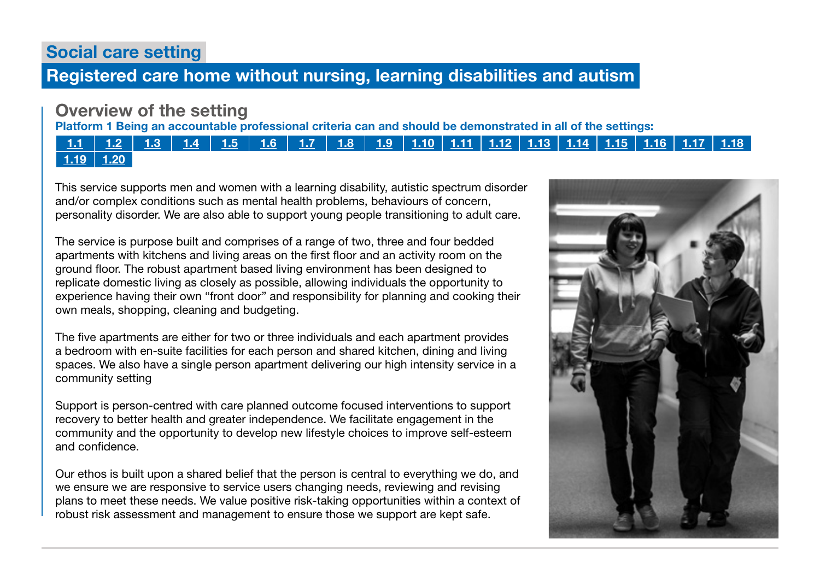# Social care setting

# Registered care home without nursing, learning disabilities and autism

# Overview of the setting

Platform 1 Being an accountable professional criteria can and should be demonstrated in all of the settings:

### [1.1](https://www.skillsforcare.org.uk/Documents/Learning-and-development/Regulated-professionals/Registered-nurses/Future-nursing-proficiencies/future-nurse-proficiencies.pdf#page=8) | [1.2](https://www.skillsforcare.org.uk/Documents/Learning-and-development/Regulated-professionals/Registered-nurses/Future-nursing-proficiencies/future-nurse-proficiencies.pdf#page=8) | [1.3](https://www.skillsforcare.org.uk/Documents/Learning-and-development/Regulated-professionals/Registered-nurses/Future-nursing-proficiencies/future-nurse-proficiencies.pdf#page=8) | [1.4](https://www.skillsforcare.org.uk/Documents/Learning-and-development/Regulated-professionals/Registered-nurses/Future-nursing-proficiencies/future-nurse-proficiencies.pdf#page=8) | [1.5](https://www.skillsforcare.org.uk/Documents/Learning-and-development/Regulated-professionals/Registered-nurses/Future-nursing-proficiencies/future-nurse-proficiencies.pdf#page=8) | [1.6](https://www.skillsforcare.org.uk/Documents/Learning-and-development/Regulated-professionals/Registered-nurses/Future-nursing-proficiencies/future-nurse-proficiencies.pdf#page=8) | [1.7](https://www.skillsforcare.org.uk/Documents/Learning-and-development/Regulated-professionals/Registered-nurses/Future-nursing-proficiencies/future-nurse-proficiencies.pdf#page=8) | [1.8](https://www.skillsforcare.org.uk/Documents/Learning-and-development/Regulated-professionals/Registered-nurses/Future-nursing-proficiencies/future-nurse-proficiencies.pdf#page=8) | [1.9](https://www.skillsforcare.org.uk/Documents/Learning-and-development/Regulated-professionals/Registered-nurses/Future-nursing-proficiencies/future-nurse-proficiencies.pdf#page=8) | [1.10](https://www.skillsforcare.org.uk/Documents/Learning-and-development/Regulated-professionals/Registered-nurses/Future-nursing-proficiencies/future-nurse-proficiencies.pdf#page=9) | [1.11](https://www.skillsforcare.org.uk/Documents/Learning-and-development/Regulated-professionals/Registered-nurses/Future-nursing-proficiencies/future-nurse-proficiencies.pdf#page=9) | [1.12](https://www.skillsforcare.org.uk/Documents/Learning-and-development/Regulated-professionals/Registered-nurses/Future-nursing-proficiencies/future-nurse-proficiencies.pdf#page=9) | [1.13](https://www.skillsforcare.org.uk/Documents/Learning-and-development/Regulated-professionals/Registered-nurses/Future-nursing-proficiencies/future-nurse-proficiencies.pdf#page=9) | [1.14](https://www.skillsforcare.org.uk/Documents/Learning-and-development/Regulated-professionals/Registered-nurses/Future-nursing-proficiencies/future-nurse-proficiencies.pdf#page=9) | [1.15](https://www.skillsforcare.org.uk/Documents/Learning-and-development/Regulated-professionals/Registered-nurses/Future-nursing-proficiencies/future-nurse-proficiencies.pdf#page=9) | [1.16](https://www.skillsforcare.org.uk/Documents/Learning-and-development/Regulated-professionals/Registered-nurses/Future-nursing-proficiencies/future-nurse-proficiencies.pdf#page=9) | [1.17](https://www.skillsforcare.org.uk/Documents/Learning-and-development/Regulated-professionals/Registered-nurses/Future-nursing-proficiencies/future-nurse-proficiencies.pdf#page=9)  $1.19$  |  $1.20$

This service supports men and women with a learning disability, autistic spectrum disorder and/or complex conditions such as mental health problems, behaviours of concern, personality disorder. We are also able to support young people transitioning to adult care.

The service is purpose built and comprises of a range of two, three and four bedded apartments with kitchens and living areas on the first floor and an activity room on the ground floor. The robust apartment based living environment has been designed to replicate domestic living as closely as possible, allowing individuals the opportunity to experience having their own "front door" and responsibility for planning and cooking their own meals, shopping, cleaning and budgeting.

The five apartments are either for two or three individuals and each apartment provides a bedroom with en-suite facilities for each person and shared kitchen, dining and living spaces. We also have a single person apartment delivering our high intensity service in a community setting

Support is person-centred with care planned outcome focused interventions to support recovery to better health and greater independence. We facilitate engagement in the community and the opportunity to develop new lifestyle choices to improve self-esteem and confidence.

Our ethos is built upon a shared belief that the person is central to everything we do, and we ensure we are responsive to service users changing needs, reviewing and revising plans to meet these needs. We value positive risk-taking opportunities within a context of robust risk assessment and management to ensure those we support are kept safe.

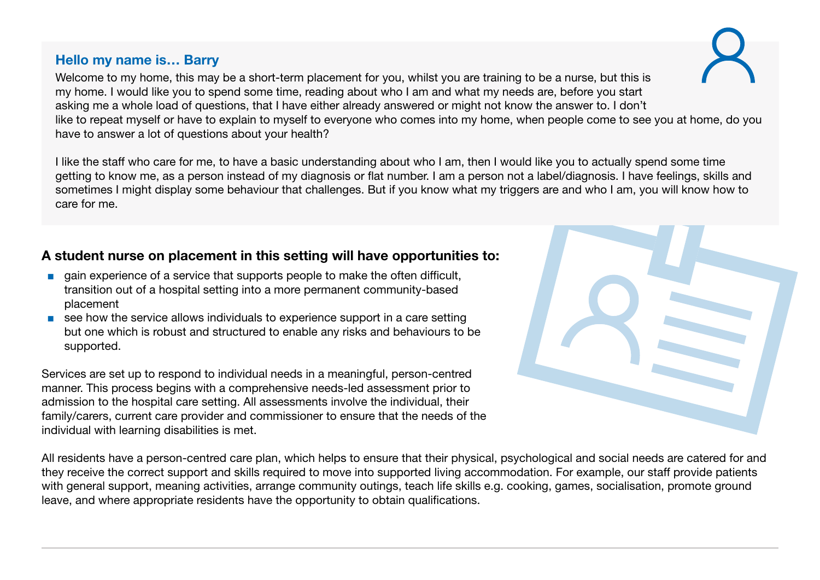### Hello my name is… Barry

Welcome to my home, this may be a short-term placement for you, whilst you are training to be a nurse, but this is my home. I would like you to spend some time, reading about who I am and what my needs are, before you start asking me a whole load of questions, that I have either already answered or might not know the answer to. I don't like to repeat myself or have to explain to myself to everyone who comes into my home, when people come to see you at home, do you have to answer a lot of questions about your health?

I like the staff who care for me, to have a basic understanding about who I am, then I would like you to actually spend some time getting to know me, as a person instead of my diagnosis or flat number. I am a person not a label/diagnosis. I have feelings, skills and sometimes I might display some behaviour that challenges. But if you know what my triggers are and who I am, you will know how to care for me.

# A student nurse on placement in this setting will have opportunities to:

- gain experience of a service that supports people to make the often difficult, transition out of a hospital setting into a more permanent community-based placement
- see how the service allows individuals to experience support in a care setting but one which is robust and structured to enable any risks and behaviours to be supported.

Services are set up to respond to individual needs in a meaningful, person-centred manner. This process begins with a comprehensive needs-led assessment prior to admission to the hospital care setting. All assessments involve the individual, their family/carers, current care provider and commissioner to ensure that the needs of the individual with learning disabilities is met.

All residents have a person-centred care plan, which helps to ensure that their physical, psychological and social needs are catered for and they receive the correct support and skills required to move into supported living accommodation. For example, our staff provide patients with general support, meaning activities, arrange community outings, teach life skills e.g. cooking, games, socialisation, promote ground leave, and where appropriate residents have the opportunity to obtain qualifications.

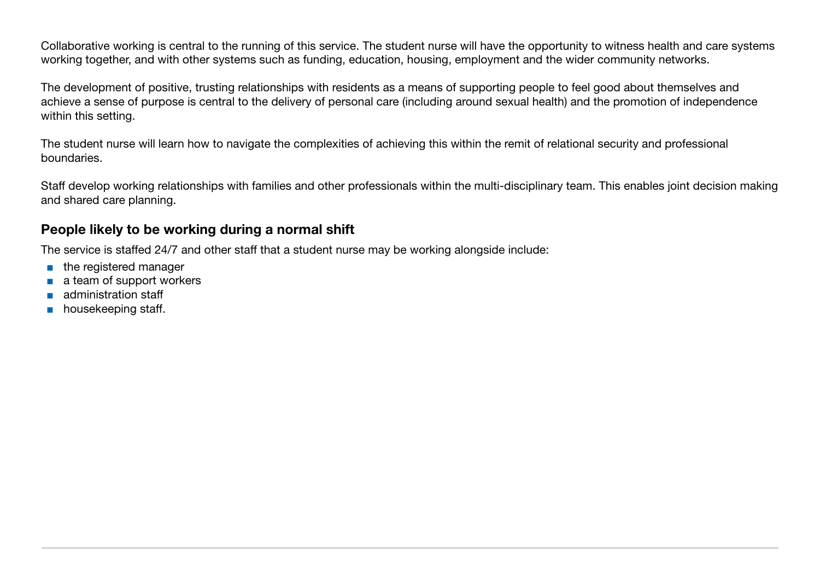Collaborative working is central to the running of this service. The student nurse will have the opportunity to witness health and care systems working together, and with other systems such as funding, education, housing, employment and the wider community networks.

The development of positive, trusting relationships with residents as a means of supporting people to feel good about themselves and achieve a sense of purpose is central to the delivery of personal care (including around sexual health) and the promotion of independence within this setting.

The student nurse will learn how to navigate the complexities of achieving this within the remit of relational security and professional boundaries.

Staff develop working relationships with families and other professionals within the multi-disciplinary team. This enables joint decision making and shared care planning.

### People likely to be working during a normal shift

The service is staffed 24/7 and other staff that a student nurse may be working alongside include:

- the registered manager
- a team of support workers
- administration staff
- housekeeping staff.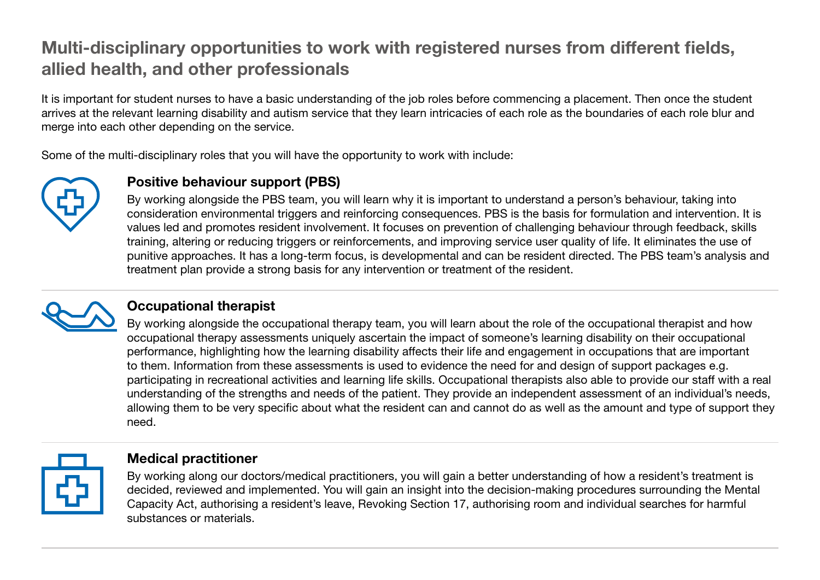# Multi-disciplinary opportunities to work with registered nurses from different fields, allied health, and other professionals

It is important for student nurses to have a basic understanding of the job roles before commencing a placement. Then once the student arrives at the relevant learning disability and autism service that they learn intricacies of each role as the boundaries of each role blur and merge into each other depending on the service.

Some of the multi-disciplinary roles that you will have the opportunity to work with include:



# Positive behaviour support (PBS)

By working alongside the PBS team, you will learn why it is important to understand a person's behaviour, taking into consideration environmental triggers and reinforcing consequences. PBS is the basis for formulation and intervention. It is values led and promotes resident involvement. It focuses on prevention of challenging behaviour through feedback, skills training, altering or reducing triggers or reinforcements, and improving service user quality of life. It eliminates the use of punitive approaches. It has a long-term focus, is developmental and can be resident directed. The PBS team's analysis and treatment plan provide a strong basis for any intervention or treatment of the resident.



### Occupational therapist

By working alongside the occupational therapy team, you will learn about the role of the occupational therapist and how occupational therapy assessments uniquely ascertain the impact of someone's learning disability on their occupational performance, highlighting how the learning disability affects their life and engagement in occupations that are important to them. Information from these assessments is used to evidence the need for and design of support packages e.g. participating in recreational activities and learning life skills. Occupational therapists also able to provide our staff with a real understanding of the strengths and needs of the patient. They provide an independent assessment of an individual's needs, allowing them to be very specific about what the resident can and cannot do as well as the amount and type of support they need.



#### Medical practitioner

By working along our doctors/medical practitioners, you will gain a better understanding of how a resident's treatment is decided, reviewed and implemented. You will gain an insight into the decision-making procedures surrounding the Mental Capacity Act, authorising a resident's leave, Revoking Section 17, authorising room and individual searches for harmful substances or materials.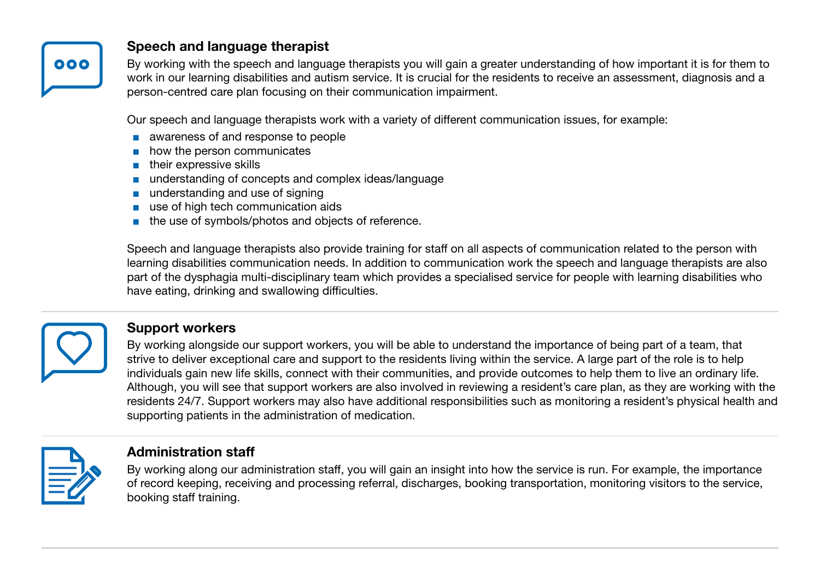

### Speech and language therapist

By working with the speech and language therapists you will gain a greater understanding of how important it is for them to work in our learning disabilities and autism service. It is crucial for the residents to receive an assessment, diagnosis and a person-centred care plan focusing on their communication impairment.

Our speech and language therapists work with a variety of different communication issues, for example:

- awareness of and response to people
- how the person communicates
- their expressive skills
- understanding of concepts and complex ideas/language
- understanding and use of signing
- use of high tech communication aids
- the use of symbols/photos and objects of reference.

Speech and language therapists also provide training for staff on all aspects of communication related to the person with learning disabilities communication needs. In addition to communication work the speech and language therapists are also part of the dysphagia multi-disciplinary team which provides a specialised service for people with learning disabilities who have eating, drinking and swallowing difficulties.



### Support workers

By working alongside our support workers, you will be able to understand the importance of being part of a team, that strive to deliver exceptional care and support to the residents living within the service. A large part of the role is to help individuals gain new life skills, connect with their communities, and provide outcomes to help them to live an ordinary life. Although, you will see that support workers are also involved in reviewing a resident's care plan, as they are working with the residents 24/7. Support workers may also have additional responsibilities such as monitoring a resident's physical health and supporting patients in the administration of medication.



#### Administration staff

By working along our administration staff, you will gain an insight into how the service is run. For example, the importance of record keeping, receiving and processing referral, discharges, booking transportation, monitoring visitors to the service, booking staff training.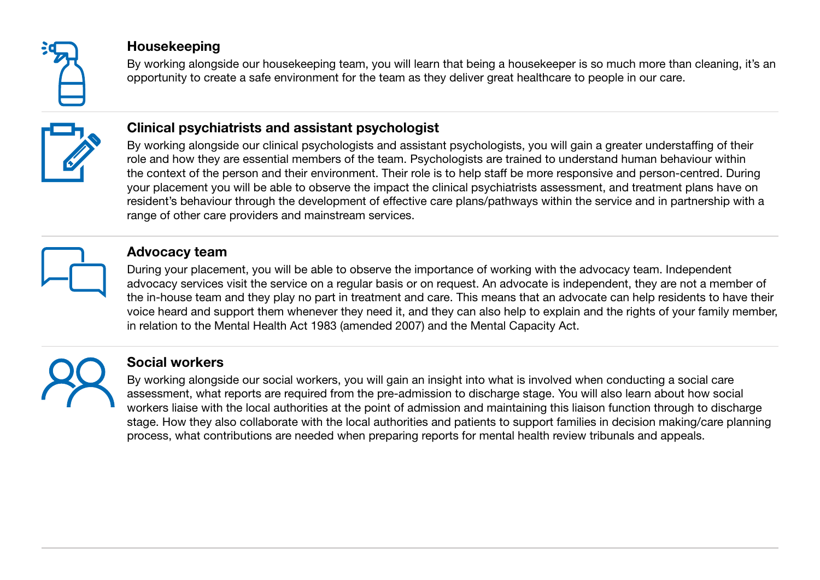

### Housekeeping

By working alongside our housekeeping team, you will learn that being a housekeeper is so much more than cleaning, it's an opportunity to create a safe environment for the team as they deliver great healthcare to people in our care.



# Clinical psychiatrists and assistant psychologist

By working alongside our clinical psychologists and assistant psychologists, you will gain a greater understaffing of their role and how they are essential members of the team. Psychologists are trained to understand human behaviour within the context of the person and their environment. Their role is to help staff be more responsive and person-centred. During your placement you will be able to observe the impact the clinical psychiatrists assessment, and treatment plans have on resident's behaviour through the development of effective care plans/pathways within the service and in partnership with a range of other care providers and mainstream services.



#### Advocacy team

During your placement, you will be able to observe the importance of working with the advocacy team. Independent advocacy services visit the service on a regular basis or on request. An advocate is independent, they are not a member of the in-house team and they play no part in treatment and care. This means that an advocate can help residents to have their voice heard and support them whenever they need it, and they can also help to explain and the rights of your family member, in relation to the Mental Health Act 1983 (amended 2007) and the Mental Capacity Act.



### Social workers

By working alongside our social workers, you will gain an insight into what is involved when conducting a social care assessment, what reports are required from the pre-admission to discharge stage. You will also learn about how social workers liaise with the local authorities at the point of admission and maintaining this liaison function through to discharge stage. How they also collaborate with the local authorities and patients to support families in decision making/care planning process, what contributions are needed when preparing reports for mental health review tribunals and appeals.